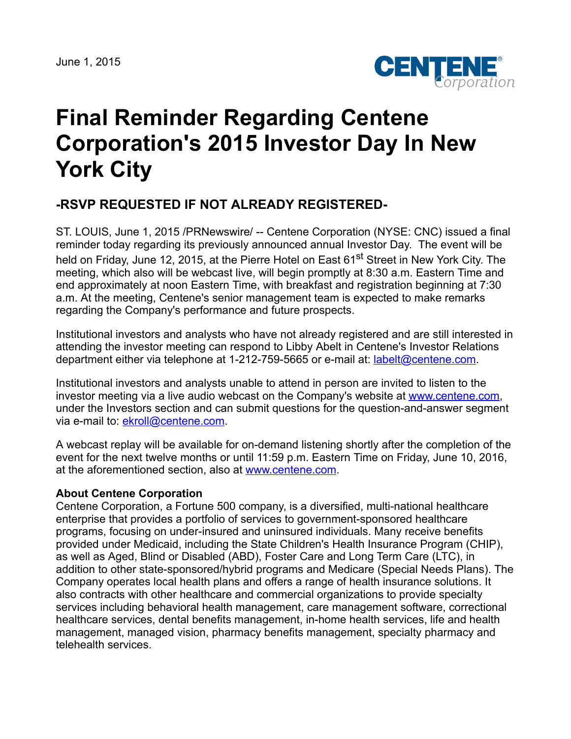

## **Final Reminder Regarding Centene Corporation's 2015 Investor Day In New York City**

## **-RSVP REQUESTED IF NOT ALREADY REGISTERED-**

ST. LOUIS, June 1, 2015 /PRNewswire/ -- Centene Corporation (NYSE: CNC) issued a final reminder today regarding its previously announced annual Investor Day. The event will be held on Friday, June 12, 2015, at the Pierre Hotel on East 61<sup>st</sup> Street in New York City. The meeting, which also will be webcast live, will begin promptly at 8:30 a.m. Eastern Time and end approximately at noon Eastern Time, with breakfast and registration beginning at 7:30 a.m. At the meeting, Centene's senior management team is expected to make remarks regarding the Company's performance and future prospects.

Institutional investors and analysts who have not already registered and are still interested in attending the investor meeting can respond to Libby Abelt in Centene's Investor Relations department either via telephone at 1-212-759-5665 or e-mail at: [labelt@centene.com.](mailto:labelt@centene.com)

Institutional investors and analysts unable to attend in person are invited to listen to the investor meeting via a live audio webcast on the Company's website at [www.centene.com,](http://www.centene.com/) under the Investors section and can submit questions for the question-and-answer segment via e-mail to: [ekroll@centene.com.](mailto:ekroll@centene.com)

A webcast replay will be available for on-demand listening shortly after the completion of the event for the next twelve months or until 11:59 p.m. Eastern Time on Friday, June 10, 2016, at the aforementioned section, also at [www.centene.com.](http://www.centene.com/)

## **About Centene Corporation**

Centene Corporation, a Fortune 500 company, is a diversified, multi-national healthcare enterprise that provides a portfolio of services to government-sponsored healthcare programs, focusing on under-insured and uninsured individuals. Many receive benefits provided under Medicaid, including the State Children's Health Insurance Program (CHIP), as well as Aged, Blind or Disabled (ABD), Foster Care and Long Term Care (LTC), in addition to other state-sponsored/hybrid programs and Medicare (Special Needs Plans). The Company operates local health plans and offers a range of health insurance solutions. It also contracts with other healthcare and commercial organizations to provide specialty services including behavioral health management, care management software, correctional healthcare services, dental benefits management, in-home health services, life and health management, managed vision, pharmacy benefits management, specialty pharmacy and telehealth services.